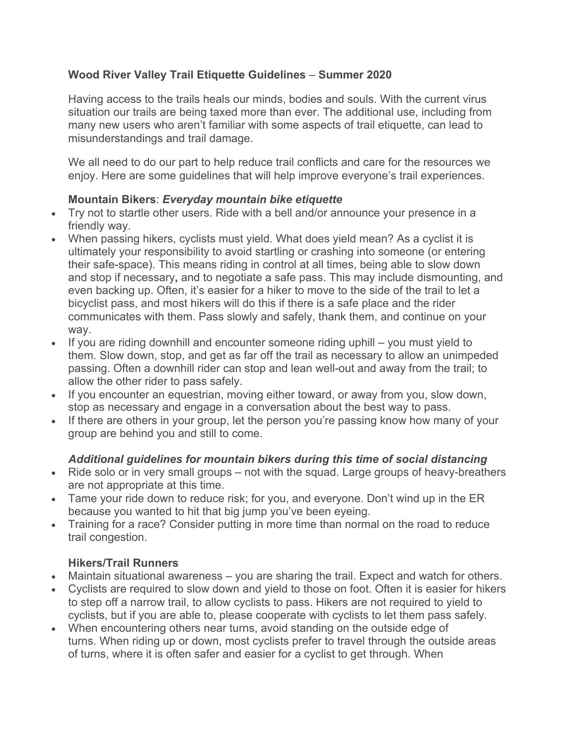### **Wood River Valley Trail Etiquette Guidelines** – **Summer 2020**

Having access to the trails heals our minds, bodies and souls. With the current virus situation our trails are being taxed more than ever. The additional use, including from many new users who aren't familiar with some aspects of trail etiquette, can lead to misunderstandings and trail damage.

We all need to do our part to help reduce trail conflicts and care for the resources we enjoy. Here are some guidelines that will help improve everyone's trail experiences.

#### **Mountain Bikers**: *Everyday mountain bike etiquette*

- Try not to startle other users. Ride with a bell and/or announce your presence in a friendly way.
- When passing hikers, cyclists must yield. What does yield mean? As a cyclist it is ultimately your responsibility to avoid startling or crashing into someone (or entering their safe-space). This means riding in control at all times, being able to slow down and stop if necessary**,** and to negotiate a safe pass. This may include dismounting, and even backing up. Often, it's easier for a hiker to move to the side of the trail to let a bicyclist pass, and most hikers will do this if there is a safe place and the rider communicates with them. Pass slowly and safely, thank them, and continue on your way.
- If you are riding downhill and encounter someone riding uphill you must yield to them. Slow down, stop, and get as far off the trail as necessary to allow an unimpeded passing. Often a downhill rider can stop and lean well-out and away from the trail; to allow the other rider to pass safely.
- If you encounter an equestrian, moving either toward, or away from you, slow down, stop as necessary and engage in a conversation about the best way to pass.
- If there are others in your group, let the person you're passing know how many of your group are behind you and still to come.

### *Additional guidelines for mountain bikers during this time of social distancing*

- Ride solo or in very small groups not with the squad. Large groups of heavy-breathers are not appropriate at this time.
- Tame your ride down to reduce risk; for you, and everyone. Don't wind up in the ER because you wanted to hit that big jump you've been eyeing.
- Training for a race? Consider putting in more time than normal on the road to reduce trail congestion.

### **Hikers/Trail Runners**

- Maintain situational awareness you are sharing the trail. Expect and watch for others.
- Cyclists are required to slow down and yield to those on foot. Often it is easier for hikers to step off a narrow trail, to allow cyclists to pass. Hikers are not required to yield to cyclists, but if you are able to, please cooperate with cyclists to let them pass safely.
- When encountering others near turns, avoid standing on the outside edge of turns. When riding up or down, most cyclists prefer to travel through the outside areas of turns, where it is often safer and easier for a cyclist to get through. When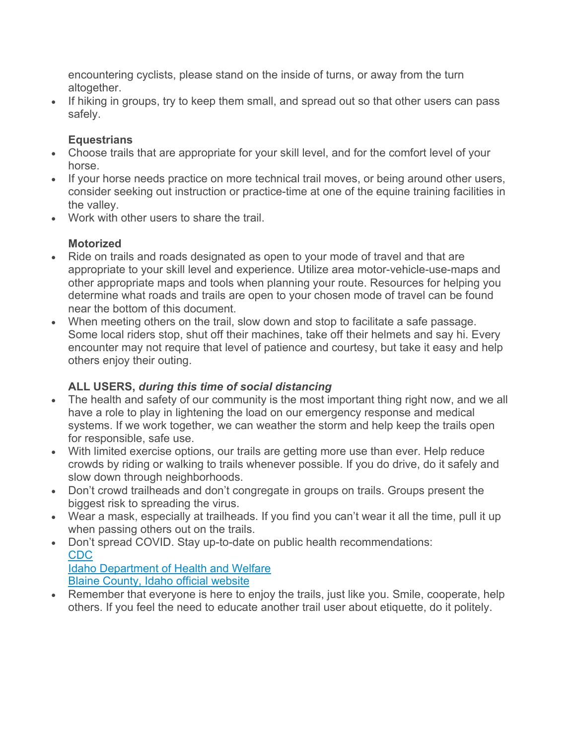encountering cyclists, please stand on the inside of turns, or away from the turn altogether.

• If hiking in groups, try to keep them small, and spread out so that other users can pass safely.

## **Equestrians**

- Choose trails that are appropriate for your skill level, and for the comfort level of your horse.
- If your horse needs practice on more technical trail moves, or being around other users, consider seeking out instruction or practice-time at one of the equine training facilities in the valley.
- Work with other users to share the trail.

# **Motorized**

- Ride on trails and roads designated as open to your mode of travel and that are appropriate to your skill level and experience. Utilize area motor-vehicle-use-maps and other appropriate maps and tools when planning your route. Resources for helping you determine what roads and trails are open to your chosen mode of travel can be found near the bottom of this document.
- When meeting others on the trail, slow down and stop to facilitate a safe passage. Some local riders stop, shut off their machines, take off their helmets and say hi. Every encounter may not require that level of patience and courtesy, but take it easy and help others enjoy their outing.

## **ALL USERS,** *during this time of social distancing*

- The health and safety of our community is the most important thing right now, and we all have a role to play in lightening the load on our emergency response and medical systems. If we work together, we can weather the storm and help keep the trails open for responsible, safe use.
- With limited exercise options, our trails are getting more use than ever. Help reduce crowds by riding or walking to trails whenever possible. If you do drive, do it safely and slow down through neighborhoods.
- Don't crowd trailheads and don't congregate in groups on trails. Groups present the biggest risk to spreading the virus.
- Wear a mask, especially at trailheads. If you find you can't wear it all the time, pull it up when passing others out on the trails.
- Don't spread COVID. Stay up-to-date on public health recommendations: CDC

Idaho Department of Health and Welfare Blaine County, Idaho official website

• Remember that everyone is here to enjoy the trails, just like you. Smile, cooperate, help others. If you feel the need to educate another trail user about etiquette, do it politely.